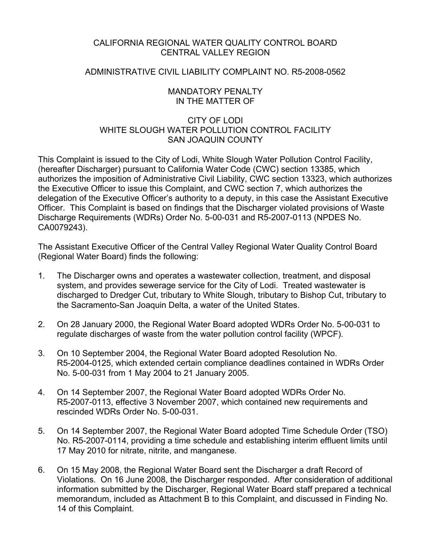### CALIFORNIA REGIONAL WATER QUALITY CONTROL BOARD CENTRAL VALLEY REGION

### ADMINISTRATIVE CIVIL LIABILITY COMPLAINT NO. R5-2008-0562

### MANDATORY PENALTY IN THE MATTER OF

## CITY OF LODI WHITE SLOUGH WATER POLLUTION CONTROL FACILITY SAN JOAQUIN COUNTY

This Complaint is issued to the City of Lodi, White Slough Water Pollution Control Facility, (hereafter Discharger) pursuant to California Water Code (CWC) section 13385, which authorizes the imposition of Administrative Civil Liability, CWC section 13323, which authorizes the Executive Officer to issue this Complaint, and CWC section 7, which authorizes the delegation of the Executive Officer's authority to a deputy, in this case the Assistant Executive Officer. This Complaint is based on findings that the Discharger violated provisions of Waste Discharge Requirements (WDRs) Order No. 5-00-031 and R5-2007-0113 (NPDES No. CA0079243).

The Assistant Executive Officer of the Central Valley Regional Water Quality Control Board (Regional Water Board) finds the following:

- 1. The Discharger owns and operates a wastewater collection, treatment, and disposal system, and provides sewerage service for the City of Lodi. Treated wastewater is discharged to Dredger Cut, tributary to White Slough, tributary to Bishop Cut, tributary to the Sacramento-San Joaquin Delta, a water of the United States.
- 2. On 28 January 2000, the Regional Water Board adopted WDRs Order No. 5-00-031 to regulate discharges of waste from the water pollution control facility (WPCF).
- 3. On 10 September 2004, the Regional Water Board adopted Resolution No. R5-2004-0125, which extended certain compliance deadlines contained in WDRs Order No. 5-00-031 from 1 May 2004 to 21 January 2005.
- 4. On 14 September 2007, the Regional Water Board adopted WDRs Order No. R5-2007-0113, effective 3 November 2007, which contained new requirements and rescinded WDRs Order No. 5-00-031.
- 5. On 14 September 2007, the Regional Water Board adopted Time Schedule Order (TSO) No. R5-2007-0114, providing a time schedule and establishing interim effluent limits until 17 May 2010 for nitrate, nitrite, and manganese.
- 6. On 15 May 2008, the Regional Water Board sent the Discharger a draft Record of Violations. On 16 June 2008, the Discharger responded. After consideration of additional information submitted by the Discharger, Regional Water Board staff prepared a technical memorandum, included as Attachment B to this Complaint, and discussed in Finding No. 14 of this Complaint.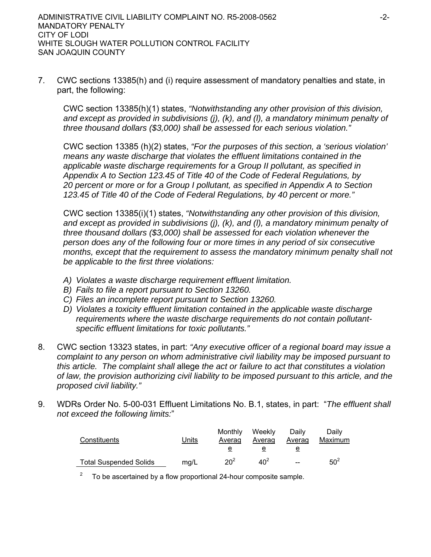7. CWC sections 13385(h) and (i) require assessment of mandatory penalties and state, in part, the following:

CWC section 13385(h)(1) states, *"Notwithstanding any other provision of this division, and except as provided in subdivisions (j), (k), and (l), a mandatory minimum penalty of three thousand dollars (\$3,000) shall be assessed for each serious violation."* 

CWC section 13385 (h)(2) states, *"For the purposes of this section, a 'serious violation' means any waste discharge that violates the effluent limitations contained in the applicable waste discharge requirements for a Group II pollutant, as specified in Appendix A to Section 123.45 of Title 40 of the Code of Federal Regulations, by 20 percent or more or for a Group I pollutant, as specified in Appendix A to Section 123.45 of Title 40 of the Code of Federal Regulations, by 40 percent or more."*

CWC section 13385(i)(1) states, *"Notwithstanding any other provision of this division, and except as provided in subdivisions (j), (k), and (l), a mandatory minimum penalty of three thousand dollars (\$3,000) shall be assessed for each violation whenever the person does any of the following four or more times in any period of six consecutive months, except that the requirement to assess the mandatory minimum penalty shall not be applicable to the first three violations:*

- *A) Violates a waste discharge requirement effluent limitation.*
- *B) Fails to file a report pursuant to Section 13260.*
- *C) Files an incomplete report pursuant to Section 13260.*
- *D) Violates a toxicity effluent limitation contained in the applicable waste discharge requirements where the waste discharge requirements do not contain pollutantspecific effluent limitations for toxic pollutants."*
- 8. CWC section 13323 states, in part: *"Any executive officer of a regional board may issue a complaint to any person on whom administrative civil liability may be imposed pursuant to this article. The complaint shall* allege *the act or failure to act that constitutes a violation of law, the provision authorizing civil liability to be imposed pursuant to this article, and the proposed civil liability."*
- 9. WDRs Order No. 5-00-031 Effluent Limitations No. B.1, states, in part: "*The effluent shall not exceed the following limits:*"

| Constituents                  | Units | Monthly<br>Averag | Weekly<br>Averag | Daily<br>Averag | Daily<br>Maximum |
|-------------------------------|-------|-------------------|------------------|-----------------|------------------|
|                               |       |                   |                  |                 |                  |
| <b>Total Suspended Solids</b> | mg/L  | $20^{2}$          | 40 <sup>2</sup>  | $-$             | $50^2$           |

2 To be ascertained by a flow proportional 24-hour composite sample.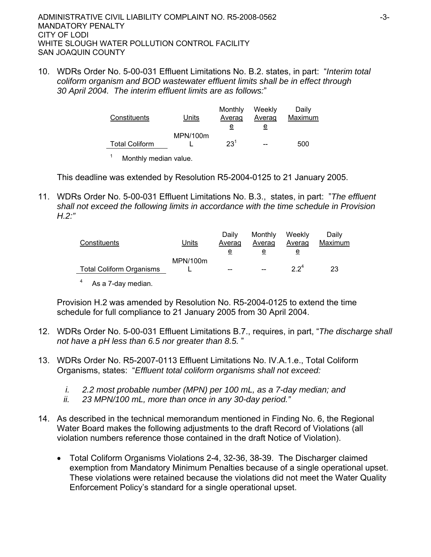10. WDRs Order No. 5-00-031 Effluent Limitations No. B.2. states, in part: "*Interim total coliform organism and BOD wastewater effluent limits shall be in effect through 30 April 2004. The interim effluent limits are as follows:*"

| Constituents          | Units    | Monthly<br>Averag | Weekly<br>Averag | Daily<br>Maximum |
|-----------------------|----------|-------------------|------------------|------------------|
|                       |          | e                 | e                |                  |
|                       | MPN/100m |                   |                  |                  |
| <b>Total Coliform</b> |          | $23^{1}$          |                  | 500              |
| Monthly median value. |          |                   |                  |                  |

This deadline was extended by Resolution R5-2004-0125 to 21 January 2005.

11. WDRs Order No. 5-00-031 Effluent Limitations No. B.3., states, in part: "*The effluent shall not exceed the following limits in accordance with the time schedule in Provision H.2:"*

| Constituents                    | Units    | Daily<br>Averag | Monthly<br>Averag | Weekly<br><b>Averag</b> | Daily<br>Maximum |
|---------------------------------|----------|-----------------|-------------------|-------------------------|------------------|
|                                 |          | е               | е                 | е                       |                  |
| <b>Total Coliform Organisms</b> | MPN/100m | $- -$           | --                | 22 <sup>4</sup>         | 23               |

4 As a 7-day median.

Provision H.2 was amended by Resolution No. R5-2004-0125 to extend the time schedule for full compliance to 21 January 2005 from 30 April 2004.

- 12. WDRs Order No. 5-00-031 Effluent Limitations B.7., requires, in part, "*The discharge shall not have a pH less than 6.5 nor greater than 8.5.* "
- 13. WDRs Order No. R5-2007-0113 Effluent Limitations No. IV.A.1.e., Total Coliform Organisms, states: "*Effluent total coliform organisms shall not exceed:*
	- *i. 2.2 most probable number (MPN) per 100 mL, as a 7-day median; and*
	- *ii. 23 MPN/100 mL, more than once in any 30-day period."*
- 14. As described in the technical memorandum mentioned in Finding No. 6, the Regional Water Board makes the following adjustments to the draft Record of Violations (all violation numbers reference those contained in the draft Notice of Violation).
	- Total Coliform Organisms Violations 2-4, 32-36, 38-39. The Discharger claimed exemption from Mandatory Minimum Penalties because of a single operational upset. These violations were retained because the violations did not meet the Water Quality Enforcement Policy's standard for a single operational upset.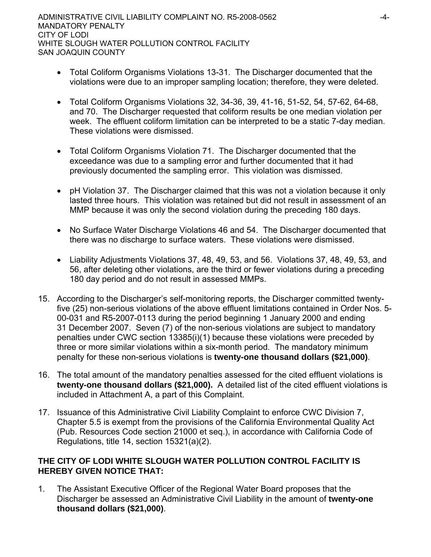- Total Coliform Organisms Violations 13-31. The Discharger documented that the violations were due to an improper sampling location; therefore, they were deleted.
- Total Coliform Organisms Violations 32, 34-36, 39, 41-16, 51-52, 54, 57-62, 64-68, and 70. The Discharger requested that coliform results be one median violation per week. The effluent coliform limitation can be interpreted to be a static 7-day median. These violations were dismissed.
- Total Coliform Organisms Violation 71. The Discharger documented that the exceedance was due to a sampling error and further documented that it had previously documented the sampling error. This violation was dismissed.
- pH Violation 37. The Discharger claimed that this was not a violation because it only lasted three hours. This violation was retained but did not result in assessment of an MMP because it was only the second violation during the preceding 180 days.
- No Surface Water Discharge Violations 46 and 54. The Discharger documented that there was no discharge to surface waters. These violations were dismissed.
- Liability Adjustments Violations 37, 48, 49, 53, and 56. Violations 37, 48, 49, 53, and 56, after deleting other violations, are the third or fewer violations during a preceding 180 day period and do not result in assessed MMPs.
- 15. According to the Discharger's self-monitoring reports, the Discharger committed twentyfive (25) non-serious violations of the above effluent limitations contained in Order Nos. 5- 00-031 and R5-2007-0113 during the period beginning 1 January 2000 and ending 31 December 2007. Seven (7) of the non-serious violations are subject to mandatory penalties under CWC section 13385(i)(1) because these violations were preceded by three or more similar violations within a six-month period. The mandatory minimum penalty for these non-serious violations is **twenty-one thousand dollars (\$21,000)**.
- 16. The total amount of the mandatory penalties assessed for the cited effluent violations is **twenty-one thousand dollars (\$21,000).** A detailed list of the cited effluent violations is included in Attachment A, a part of this Complaint.
- 17. Issuance of this Administrative Civil Liability Complaint to enforce CWC Division 7, Chapter 5.5 is exempt from the provisions of the California Environmental Quality Act (Pub. Resources Code section 21000 et seq.), in accordance with California Code of Regulations, title 14, section 15321(a)(2).

## **THE CITY OF LODI WHITE SLOUGH WATER POLLUTION CONTROL FACILITY IS HEREBY GIVEN NOTICE THAT:**

1. The Assistant Executive Officer of the Regional Water Board proposes that the Discharger be assessed an Administrative Civil Liability in the amount of **twenty-one thousand dollars (\$21,000)**.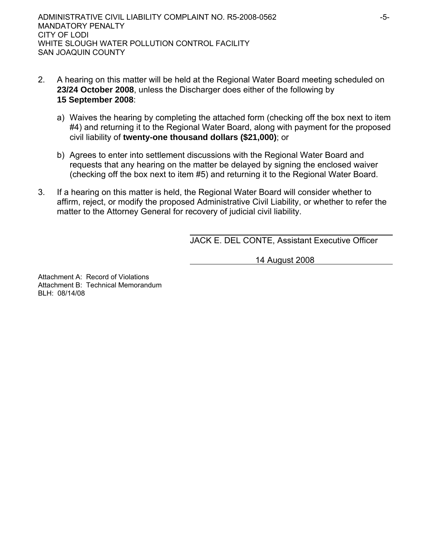- 2. A hearing on this matter will be held at the Regional Water Board meeting scheduled on **23/24 October 2008**, unless the Discharger does either of the following by **15 September 2008**:
	- a) Waives the hearing by completing the attached form (checking off the box next to item #4) and returning it to the Regional Water Board, along with payment for the proposed civil liability of **twenty-one thousand dollars (\$21,000)**; or
	- b) Agrees to enter into settlement discussions with the Regional Water Board and requests that any hearing on the matter be delayed by signing the enclosed waiver (checking off the box next to item #5) and returning it to the Regional Water Board.
- 3. If a hearing on this matter is held, the Regional Water Board will consider whether to affirm, reject, or modify the proposed Administrative Civil Liability, or whether to refer the matter to the Attorney General for recovery of judicial civil liability.

JACK E. DEL CONTE, Assistant Executive Officer

14 August 2008

Attachment A: Record of Violations Attachment B: Technical Memorandum BLH: 08/14/08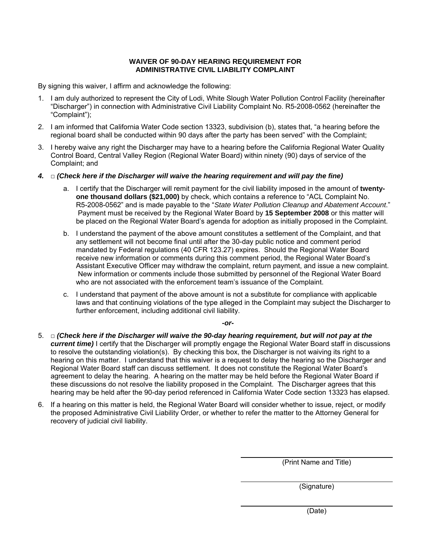#### **WAIVER OF 90-DAY HEARING REQUIREMENT FOR ADMINISTRATIVE CIVIL LIABILITY COMPLAINT**

By signing this waiver, I affirm and acknowledge the following:

- 1. I am duly authorized to represent the City of Lodi, White Slough Water Pollution Control Facility (hereinafter "Discharger") in connection with Administrative Civil Liability Complaint No. R5-2008-0562 (hereinafter the "Complaint");
- 2. I am informed that California Water Code section 13323, subdivision (b), states that, "a hearing before the regional board shall be conducted within 90 days after the party has been served" with the Complaint;
- 3. I hereby waive any right the Discharger may have to a hearing before the California Regional Water Quality Control Board, Central Valley Region (Regional Water Board) within ninety (90) days of service of the Complaint; and
- *4.* □ *(Check here if the Discharger will waive the hearing requirement and will pay the fine)* 
	- a. I certify that the Discharger will remit payment for the civil liability imposed in the amount of **twentyone thousand dollars (\$21,000)** by check, which contains a reference to "ACL Complaint No. R5-2008-0562" and is made payable to the "*State Water Pollution Cleanup and Abatement Account*." Payment must be received by the Regional Water Board by **15 September 2008** or this matter will be placed on the Regional Water Board's agenda for adoption as initially proposed in the Complaint.
	- b. I understand the payment of the above amount constitutes a settlement of the Complaint, and that any settlement will not become final until after the 30-day public notice and comment period mandated by Federal regulations (40 CFR 123.27) expires. Should the Regional Water Board receive new information or comments during this comment period, the Regional Water Board's Assistant Executive Officer may withdraw the complaint, return payment, and issue a new complaint. New information or comments include those submitted by personnel of the Regional Water Board who are not associated with the enforcement team's issuance of the Complaint.
	- c. I understand that payment of the above amount is not a substitute for compliance with applicable laws and that continuing violations of the type alleged in the Complaint may subject the Discharger to further enforcement, including additional civil liability.

*-or-*

- 5. □ *(Check here if the Discharger will waive the 90-day hearing requirement, but will not pay at the current time*) I certify that the Discharger will promptly engage the Regional Water Board staff in discussions to resolve the outstanding violation(s). By checking this box, the Discharger is not waiving its right to a hearing on this matter. I understand that this waiver is a request to delay the hearing so the Discharger and Regional Water Board staff can discuss settlement. It does not constitute the Regional Water Board's agreement to delay the hearing. A hearing on the matter may be held before the Regional Water Board if these discussions do not resolve the liability proposed in the Complaint. The Discharger agrees that this hearing may be held after the 90-day period referenced in California Water Code section 13323 has elapsed.
- 6. If a hearing on this matter is held, the Regional Water Board will consider whether to issue, reject, or modify the proposed Administrative Civil Liability Order, or whether to refer the matter to the Attorney General for recovery of judicial civil liability.

(Print Name and Title)

(Signature)

(Date)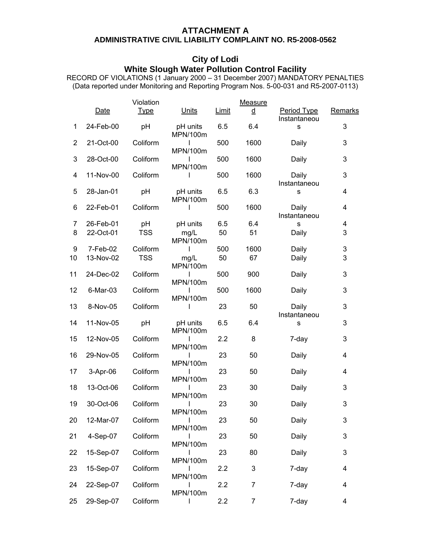# **ATTACHMENT A**

## **ADMINISTRATIVE CIVIL LIABILITY COMPLAINT NO. R5-2008-0562**

# **City of Lodi**

#### **White Slough Water Pollution Control Facility**

RECORD OF VIOLATIONS (1 January 2000 – 31 December 2007) MANDATORY PENALTIES (Data reported under Monitoring and Reporting Program Nos. 5-00-031 and R5-2007-0113)

|                | Date      | Violation<br><b>Type</b> | Units                | <b>Limit</b> | <b>Measure</b><br><u>d</u> | Period Type           | Remarks |
|----------------|-----------|--------------------------|----------------------|--------------|----------------------------|-----------------------|---------|
| 1              | 24-Feb-00 | pH                       | pH units<br>MPN/100m | 6.5          | 6.4                        | Instantaneou<br>S     | 3       |
| $\overline{2}$ | 21-Oct-00 | Coliform                 | ı<br>MPN/100m        | 500          | 1600                       | Daily                 | 3       |
| 3              | 28-Oct-00 | Coliform                 | ı<br>MPN/100m        | 500          | 1600                       | Daily                 | 3       |
| 4              | 11-Nov-00 | Coliform                 | ı                    | 500          | 1600                       | Daily<br>Instantaneou | 3       |
| 5              | 28-Jan-01 | pH                       | pH units<br>MPN/100m | 6.5          | 6.3                        | s                     | 4       |
| 6              | 22-Feb-01 | Coliform                 | I                    | 500          | 1600                       | Daily<br>Instantaneou | 4       |
| 7              | 26-Feb-01 | pH                       | pH units             | 6.5          | 6.4                        | s                     | 4       |
|                |           |                          |                      |              |                            |                       |         |
| 8              | 22-Oct-01 | <b>TSS</b>               | mg/L<br>MPN/100m     | 50           | 51                         | Daily                 | 3       |
| 9              | 7-Feb-02  | Coliform                 | I                    | 500          | 1600                       | Daily                 | 3       |
| 10             | 13-Nov-02 | <b>TSS</b>               | mg/L<br>MPN/100m     | 50           | 67                         | Daily                 | 3       |
| 11             | 24-Dec-02 | Coliform                 | I<br>MPN/100m        | 500          | 900                        | Daily                 | 3       |
| 12             | 6-Mar-03  | Coliform                 | MPN/100m             | 500          | 1600                       | Daily                 | 3       |
| 13             | 8-Nov-05  | Coliform                 | I                    | 23           | 50                         | Daily<br>Instantaneou | 3       |
| 14             | 11-Nov-05 | pH                       | pH units<br>MPN/100m | 6.5          | 6.4                        | S                     | 3       |
| 15             | 12-Nov-05 | Coliform                 | I<br>MPN/100m        | 2.2          | 8                          | 7-day                 | 3       |
| 16             | 29-Nov-05 | Coliform                 | I<br>MPN/100m        | 23           | 50                         | Daily                 | 4       |
| 17             | 3-Apr-06  | Coliform                 | MPN/100m             | 23           | 50                         | Daily                 | 4       |
| 18             | 13-Oct-06 | Coliform                 | MPN/100m             | 23           | 30                         | Daily                 | 3       |
| 19             | 30-Oct-06 | Coliform                 | ı<br>MPN/100m        | 23           | 30                         | Daily                 | 3       |
| 20             | 12-Mar-07 | Coliform                 | ı<br>MPN/100m        | 23           | 50                         | Daily                 | 3       |
| 21             | 4-Sep-07  | Coliform                 | ı<br>MPN/100m        | 23           | 50                         | Daily                 | 3       |
| 22             | 15-Sep-07 | Coliform                 | MPN/100m             | 23           | 80                         | Daily                 | 3       |
| 23             | 15-Sep-07 | Coliform                 | MPN/100m             | 2.2          | 3                          | 7-day                 | 4       |
| 24             | 22-Sep-07 | Coliform                 | MPN/100m             | 2.2          | 7                          | 7-day                 | 4       |
| 25             | 29-Sep-07 | Coliform                 |                      | 2.2          | $\overline{7}$             | 7-day                 | 4       |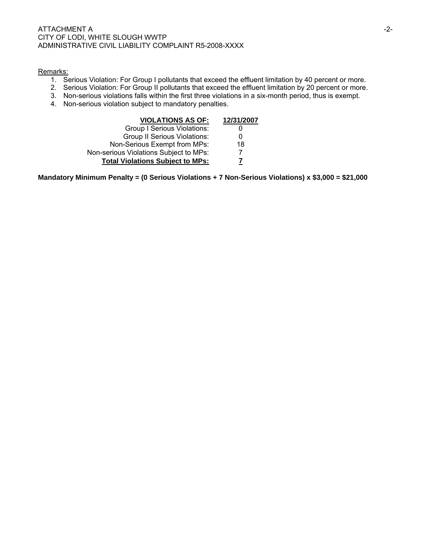#### ATTACHMENT A THREE IS A SERIES OF THE SERIES OF THE SERIES OF THE SERIES OF THE SERIES OF THE SERIES OF THE SERIES OF THE SERIES OF THE SERIES OF THE SERIES OF THE SERIES OF THE SERIES OF THE SERIES OF THE SERIES OF THE SE CITY OF LODI, WHITE SLOUGH WWTP ADMINISTRATIVE CIVIL LIABILITY COMPLAINT R5-2008-XXXX

#### Remarks:

- 1. Serious Violation: For Group I pollutants that exceed the effluent limitation by 40 percent or more.
- 2. Serious Violation: For Group II pollutants that exceed the effluent limitation by 20 percent or more.
- 3. Non-serious violations falls within the first three violations in a six-month period, thus is exempt.
- 4. Non-serious violation subject to mandatory penalties.

| <b>VIOLATIONS AS OF:</b>                | 12/31/2007 |
|-----------------------------------------|------------|
| Group I Serious Violations:             |            |
| <b>Group II Serious Violations:</b>     | O          |
| Non-Serious Exempt from MPs:            | 18         |
| Non-serious Violations Subject to MPs:  |            |
| <b>Total Violations Subject to MPs:</b> |            |

**Mandatory Minimum Penalty = (0 Serious Violations + 7 Non-Serious Violations) x \$3,000 = \$21,000**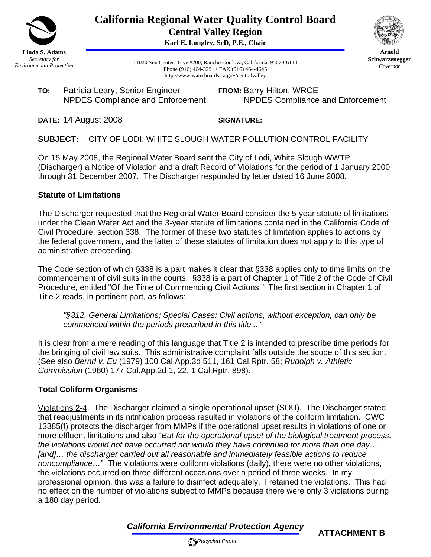

**California Regional Water Quality Control Board Central Valley Region** 

**Karl E. Longley, ScD, P.E., Chair**



**Arnold Schwarzenegger** *Governor* 

11020 Sun Center Drive #200, Rancho Cordova, California 95670-6114 Phone (916) 464-3291 • FAX (916) 464-4645 http://www.waterboards.ca.gov/centralvalley

**TO:** Patricia Leary, Senior Engineer NPDES Compliance and Enforcement **FROM:** Barry Hilton, WRCE NPDES Compliance and Enforcement

**DATE:** 14 August 2008

SIGNATURE:

**SUBJECT:** CITY OF LODI, WHITE SLOUGH WATER POLLUTION CONTROL FACILITY

On 15 May 2008, the Regional Water Board sent the City of Lodi, White Slough WWTP (Discharger) a Notice of Violation and a draft Record of Violations for the period of 1 January 2000 through 31 December 2007. The Discharger responded by letter dated 16 June 2008.

## **Statute of Limitations**

The Discharger requested that the Regional Water Board consider the 5-year statute of limitations under the Clean Water Act and the 3-year statute of limitations contained in the California Code of Civil Procedure, section 338. The former of these two statutes of limitation applies to actions by the federal government, and the latter of these statutes of limitation does not apply to this type of administrative proceeding.

The Code section of which §338 is a part makes it clear that §338 applies only to time limits on the commencement of civil suits in the courts. §338 is a part of Chapter 1 of Title 2 of the Code of Civil Procedure, entitled "Of the Time of Commencing Civil Actions." The first section in Chapter 1 of Title 2 reads, in pertinent part, as follows:

*"§312. General Limitations; Special Cases: Civil actions, without exception, can only be commenced within the periods prescribed in this title..."* 

It is clear from a mere reading of this language that Title 2 is intended to prescribe time periods for the bringing of civil law suits. This administrative complaint falls outside the scope of this section. (See also *Bernd v. Eu* (1979) 100 Cal.App.3d 511, 161 Cal.Rptr. 58; *Rudolph v. Athletic Commission* (1960) 177 Cal.App.2d 1, 22, 1 Cal.Rptr. 898).

# **Total Coliform Organisms**

Violations 2-4. The Discharger claimed a single operational upset (SOU). The Discharger stated that readjustments in its nitrification process resulted in violations of the coliform limitation. CWC 13385(f) protects the discharger from MMPs if the operational upset results in violations of one or more effluent limitations and also "*But for the operational upset of the biological treatment process, the violations would not have occurred nor would they have continued for more than one day… [and]… the discharger carried out all reasonable and immediately feasible actions to reduce noncompliance…*" The violations were coliform violations (daily), there were no other violations, the violations occurred on three different occasions over a period of three weeks. In my professional opinion, this was a failure to disinfect adequately. I retained the violations. This had no effect on the number of violations subject to MMPs because there were only 3 violations during a 180 day period.

*California Environmental Protection Agency*

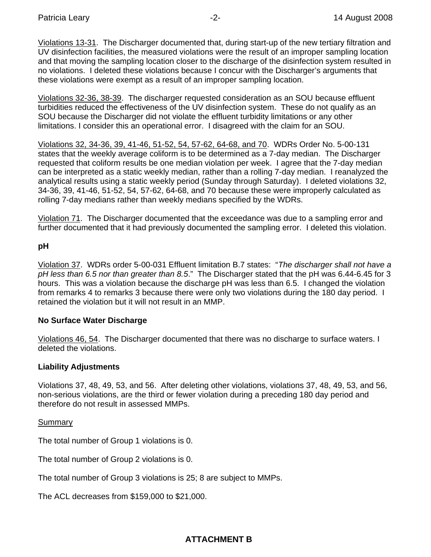Violations 13-31. The Discharger documented that, during start-up of the new tertiary filtration and UV disinfection facilities, the measured violations were the result of an improper sampling location and that moving the sampling location closer to the discharge of the disinfection system resulted in no violations. I deleted these violations because I concur with the Discharger's arguments that these violations were exempt as a result of an improper sampling location.

Violations 32-36, 38-39. The discharger requested consideration as an SOU because effluent turbidities reduced the effectiveness of the UV disinfection system. These do not qualify as an SOU because the Discharger did not violate the effluent turbidity limitations or any other limitations. I consider this an operational error. I disagreed with the claim for an SOU.

Violations 32, 34-36, 39, 41-46, 51-52, 54, 57-62, 64-68, and 70. WDRs Order No. 5-00-131 states that the weekly average coliform is to be determined as a 7-day median. The Discharger requested that coliform results be one median violation per week. I agree that the 7-day median can be interpreted as a static weekly median, rather than a rolling 7-day median. I reanalyzed the analytical results using a static weekly period (Sunday through Saturday). I deleted violations 32, 34-36, 39, 41-46, 51-52, 54, 57-62, 64-68, and 70 because these were improperly calculated as rolling 7-day medians rather than weekly medians specified by the WDRs.

Violation 71. The Discharger documented that the exceedance was due to a sampling error and further documented that it had previously documented the sampling error. I deleted this violation.

### **pH**

Violation 37. WDRs order 5-00-031 Effluent limitation B.7 states: "*The discharger shall not have a pH less than 6.5 nor than greater than 8.5*." The Discharger stated that the pH was 6.44-6.45 for 3 hours. This was a violation because the discharge pH was less than 6.5. I changed the violation from remarks 4 to remarks 3 because there were only two violations during the 180 day period. I retained the violation but it will not result in an MMP.

### **No Surface Water Discharge**

Violations 46, 54. The Discharger documented that there was no discharge to surface waters. I deleted the violations.

### **Liability Adjustments**

Violations 37, 48, 49, 53, and 56. After deleting other violations, violations 37, 48, 49, 53, and 56, non-serious violations, are the third or fewer violation during a preceding 180 day period and therefore do not result in assessed MMPs.

Summary

The total number of Group 1 violations is 0.

The total number of Group 2 violations is 0.

The total number of Group 3 violations is 25; 8 are subject to MMPs.

The ACL decreases from \$159,000 to \$21,000.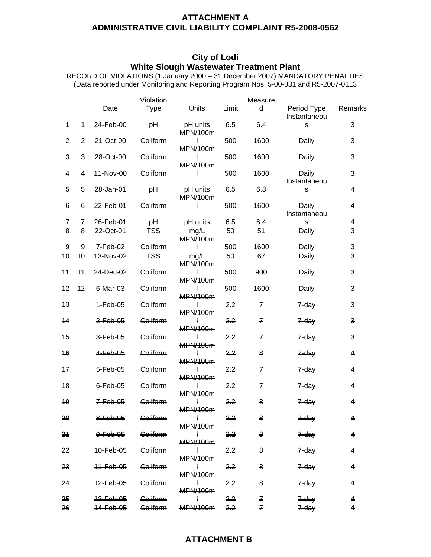### **ATTACHMENT A ADMINISTRATIVE CIVIL LIABILITY COMPLAINT R5-2008-0562**

## **City of Lodi White Slough Wastewater Treatment Plant**

RECORD OF VIOLATIONS (1 January 2000 – 31 December 2007) MANDATORY PENALTIES (Data reported under Monitoring and Reporting Program Nos. 5-00-031 and R5-2007-0113

|                 |    |                      | Violation           |                                 |                | Measure        |                             |         |
|-----------------|----|----------------------|---------------------|---------------------------------|----------------|----------------|-----------------------------|---------|
|                 |    | Date                 | <b>Type</b>         | Units                           | Limit          | $\overline{q}$ | Period Type<br>Instantaneou | Remarks |
| 1               | 1  | 24-Feb-00            | pH                  | pH units<br>MPN/100m            | 6.5            | 6.4            | S                           | 3       |
| $\overline{2}$  | 2  | 21-Oct-00            | Coliform            | $\mathbf{I}$<br>MPN/100m        | 500            | 1600           | Daily                       | 3       |
| 3               | 3  | 28-Oct-00            | Coliform            | $\mathbf{I}$<br>MPN/100m        | 500            | 1600           | Daily                       | 3       |
| 4               | 4  | 11-Nov-00            | Coliform            | $\mathbf{I}$                    | 500            | 1600           | Daily<br>Instantaneou       | 3       |
| 5               | 5  | 28-Jan-01            | pH                  | pH units<br>MPN/100m            | 6.5            | 6.3            | S                           | 4       |
| 6               | 6  | 22-Feb-01            | Coliform            | $\mathbf{I}$                    | 500            | 1600           | Daily<br>Instantaneou       | 4       |
| 7               | 7  | 26-Feb-01            | pH                  | pH units                        | 6.5            | 6.4            | S                           | 4       |
| 8               | 8  | 22-Oct-01            | <b>TSS</b>          | mg/L<br>MPN/100m                | 50             | 51             | Daily                       | 3       |
| 9               | 9  | 7-Feb-02             | Coliform            | $\mathbf{I}$                    | 500            | 1600           | Daily                       | 3       |
| 10              | 10 | 13-Nov-02            | <b>TSS</b>          | mg/L<br>MPN/100m                | 50             | 67             | Daily                       | 3       |
| 11              | 11 | 24-Dec-02            | Coliform            | $\mathsf{I}$<br>MPN/100m        | 500            | 900            | Daily                       | 3       |
| 12              | 12 | 6-Mar-03             | Coliform            | <b>MPN/100m</b>                 | 500            | 1600           | Daily                       | 3       |
| $\overline{13}$ |    | $+Feb-05$            | Coliform            | <b>MPN/100m</b>                 | 2.2            | $\mathbf{z}$   | <del>Z day</del>            | 3       |
| 44              |    | <del>2-Feb-05</del>  | <del>Coliform</del> | <b>MPN/100m</b>                 | <del>2.2</del> | $\mathbf{z}$   | $7 - day$                   | З       |
| 45              |    | <del>3-Feb-05</del>  | Coliform            | ł.<br><b>MPN/100m</b>           | 2.2            | 7              | 7-day                       | 3       |
| 46              |    | <del>4 Feb 05</del>  | <b>Geliferm</b>     | ł<br><b>MPN/100m</b>            | 22             | 8              | 7-day                       | 4       |
| 47              |    | $5 - F$ eb $-05$     | Coliform            | $\ddagger$<br><b>MPN/100m</b>   | 2.2            | 7              | $7$ -day                    | 4       |
| 48              |    | $6 - 6 + 06$         | <b>Goliform</b>     | ł<br><b>MPN/100m</b>            | 2.2            | 7              | $7$ -day                    | 4       |
| 49              |    | $7 - F$ eb $-05$     | Coliform            | <b>MPN/100m</b>                 | 2,2            | 8              | <del>7-dav</del>            | 4       |
| 20              |    | <del>8-Feb-05</del>  | Goliform            | $\mathbf{I}$<br><b>MPN/100m</b> | <del>2.2</del> | 8              | $7 - day$                   | 4       |
| 21              |    | <del>9-Feb-05</del>  | <b>Goliform</b>     | $\mathbf{I}$<br><b>MPN/100m</b> | 2.2            | 8              | 7-day                       | 4       |
| 22              |    | 10-Feb-05            | Coliform            | $\mathbf{I}$<br>MDM/100m        | 2,2            | 8              | 7-day                       | 4       |
| <del>23</del>   |    | <del>11-Feb-05</del> | <b>Geliferm</b>     | $\mathbf{I}$<br>MPN/100m        | <del>2.2</del> | 8              | <del>7-daγ</del>            | 4       |
| 24              |    | <del>12 Fob 05</del> | <b>Coliform</b>     | Ł<br><b>MPN/100m</b>            | 2,2            | 8              | $7$ -day                    | 4       |
| 25              |    | <del>13-Feb-05</del> | <b>Goliform</b>     | $\mathbf{I}$                    | 2.2            | 7              | 7 day                       | 4       |
| 26              |    | <del>14-Feb-05</del> | <del>Coliform</del> | MPN/100m 2.2                    |                | $\overline{f}$ | <del>7 day</del>            | 4       |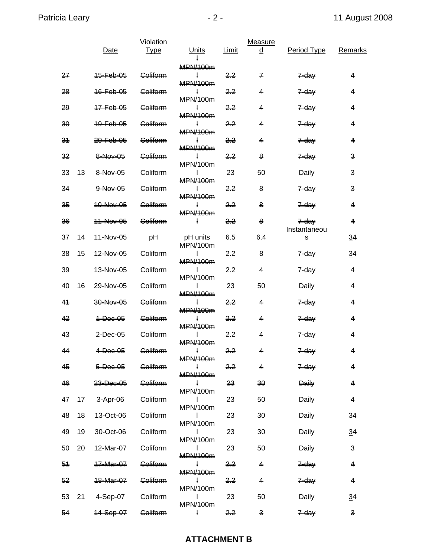|                |    | Date                 | Violation<br><b>Type</b> | <b>Units</b>                    | Limit          | Measure<br><u>d</u> | Period Type       | Remarks                 |
|----------------|----|----------------------|--------------------------|---------------------------------|----------------|---------------------|-------------------|-------------------------|
| 27             |    | 45-Feb-05            | Coliform                 | MPN/100m                        | 2.2            | 7                   | <del>7-day</del>  | 4                       |
| 28             |    | 16-Feb-05            | Goliform                 | MPN/100m<br>Ł                   | <u>22</u>      | 4                   | $7 - day$         | 4                       |
| 29             |    | <del>17-Feb-05</del> | <b>Coliform</b>          | <b>MPN/100m</b><br>ł            | <del>2.2</del> | 4                   | 7-day             | 4                       |
|                |    |                      | <b>Coliform</b>          | MPN/100m                        |                | 4                   |                   | 4                       |
| 30             |    | 10-Feb-05            |                          | ł<br><b>MPN/100m</b>            | 2.2            |                     | <del>7-day</del>  |                         |
| 31             |    | 20-Feb-05            | <b>Coliform</b>          | Ł<br>MPN/100m                   | <del>2.2</del> | 4                   | 7-day             | 4                       |
| 32             |    | 8-Nov-05             | Coliform                 | $\ddagger$<br>MPN/100m          | 2.2            | 8                   | 7-day             | 3                       |
| 33             | 13 | 8-Nov-05             | Coliform                 | L<br>MPN/100m                   | 23             | 50                  | Daily             | 3                       |
| 34             |    | $0$ -Nov-05          | Coliform                 | Ł                               | 2,2            | 8                   | $7$ -day          | 3                       |
| 35             |    | 10-Nov-05            | <b>Goliform</b>          | MPN/100m<br>$\mathbf{I}$        | <del>2.2</del> | 8                   | 7-day             | 4                       |
| 36             |    | 44-Nov-05            | <b>Goliform</b>          | MPN/100m<br>ł                   | 2.2            | 8                   | $7$ day           | 4                       |
| 37             | 14 | 11-Nov-05            | pH                       | pH units                        | 6.5            | 6.4                 | Instantaneou<br>s | $\overline{34}$         |
| 38             | 15 | 12-Nov-05            | Coliform                 | MPN/100m<br>L                   | 2.2            | 8                   | 7-day             | $\overline{34}$         |
|                |    |                      |                          | <b>MPN/100m</b>                 |                |                     |                   |                         |
| 39             |    | 13-Nov-05            | <b>Coliform</b>          | ł.<br>MPN/100m                  | 2.2            | 4                   | <del>7-day</del>  | 4                       |
| 40             | 16 | 29-Nov-05            | Coliform                 | MPN/100m                        | 23             | 50                  | Daily             | 4                       |
| 41             |    | 30-Nov-05            | Coliform                 | MPN/100m                        | 2.2            | 4                   | 7-day             | 4                       |
| 42             |    | <del>1-Dec-05</del>  | Goliform                 | MPN/100m                        | <del>2.2</del> | 4                   | 7-day             | 4                       |
| 4 <sup>3</sup> |    | <del>2 Dec 05</del>  | Coliform                 |                                 | 2.2            | 4                   | 7-day             | 4                       |
| 44             |    | $4 - 00 - 05$        | Goliform                 | MPN/100m<br>$\pm$               | <del>2.2</del> | Δ                   | $7 - day$         | 4                       |
| 45             |    | 5-Dec-05             | Goliform                 | <b>MPN/100m</b>                 | <del>2.2</del> | 4                   | 7-day             | $\overline{\mathbf{4}}$ |
| 46             |    | 23-Dec-05            | Coliform                 | <b>MPN/100m</b><br>Ł            | 23             | 30                  | <b>Daily</b>      | 4                       |
| 47             | 17 | 3-Apr-06             | Coliform                 | MPN/100m<br>I                   | 23             | 50                  | Daily             | 4                       |
|                |    |                      |                          | MPN/100m                        |                |                     |                   |                         |
| 48             | 18 | 13-Oct-06            | Coliform                 | MPN/100m                        | 23             | 30                  | Daily             | 34                      |
| 49             | 19 | 30-Oct-06            | Coliform                 | $\mathsf{I}$<br>MPN/100m        | 23             | 30                  | Daily             | 34                      |
| 50             | 20 | 12-Mar-07            | Coliform                 | $\mathbf{I}$<br><b>MPN/100m</b> | 23             | 50                  | Daily             | 3                       |
| 54             |    | 47-Mar-07            | Goliform                 | $\mathbf{I}$                    | <del>2.2</del> | 4                   | 7-day             | 4                       |
| 52             |    | <del>18-Mar-07</del> | Coliform                 | MPN/100m<br>ł                   | 2.2            | 4                   | <del>7-day</del>  | 4                       |
| 53             | 21 | 4-Sep-07             | Coliform                 | MPN/100m<br>$\mathbf{I}$        | 23             | 50                  | Daily             | 34                      |
| 54             |    | <del>14-Sep-07</del> | Goliform                 | <b>MPN/100m</b><br>ł            | 2.2            | 3                   | $7 - day$         | 3                       |